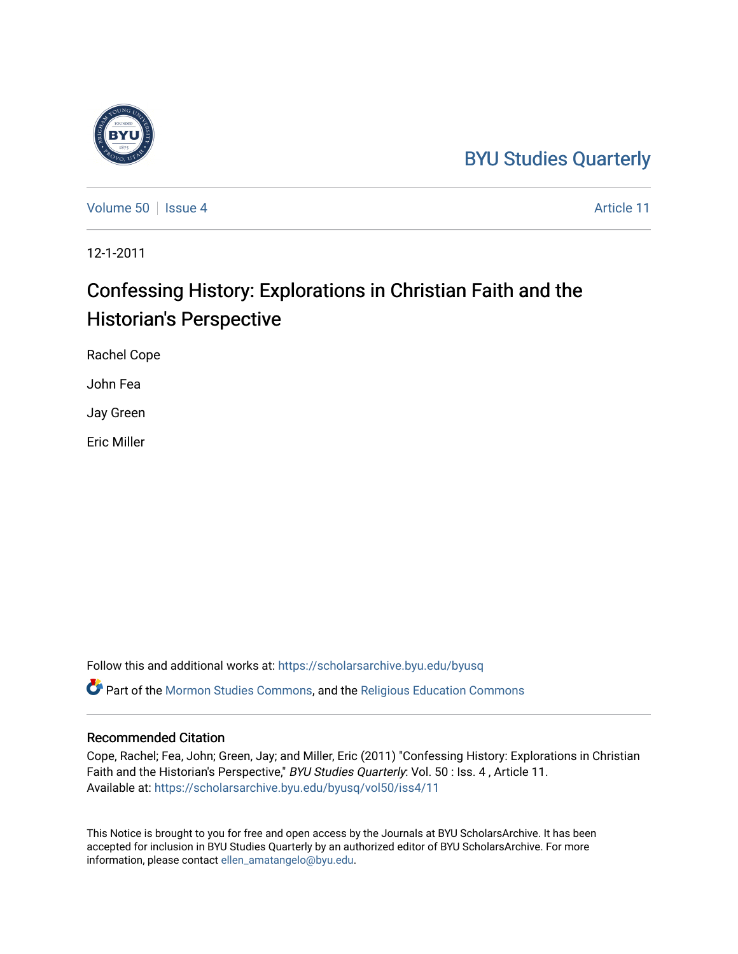## [BYU Studies Quarterly](https://scholarsarchive.byu.edu/byusq)

[Volume 50](https://scholarsarchive.byu.edu/byusq/vol50) | [Issue 4](https://scholarsarchive.byu.edu/byusq/vol50/iss4) Article 11

12-1-2011

## Confessing History: Explorations in Christian Faith and the Historian's Perspective

Rachel Cope

John Fea

Jay Green

Eric Miller

Follow this and additional works at: [https://scholarsarchive.byu.edu/byusq](https://scholarsarchive.byu.edu/byusq?utm_source=scholarsarchive.byu.edu%2Fbyusq%2Fvol50%2Fiss4%2F11&utm_medium=PDF&utm_campaign=PDFCoverPages)  Part of the [Mormon Studies Commons](http://network.bepress.com/hgg/discipline/1360?utm_source=scholarsarchive.byu.edu%2Fbyusq%2Fvol50%2Fiss4%2F11&utm_medium=PDF&utm_campaign=PDFCoverPages), and the [Religious Education Commons](http://network.bepress.com/hgg/discipline/1414?utm_source=scholarsarchive.byu.edu%2Fbyusq%2Fvol50%2Fiss4%2F11&utm_medium=PDF&utm_campaign=PDFCoverPages) 

## Recommended Citation

Cope, Rachel; Fea, John; Green, Jay; and Miller, Eric (2011) "Confessing History: Explorations in Christian Faith and the Historian's Perspective," BYU Studies Quarterly: Vol. 50 : Iss. 4, Article 11. Available at: [https://scholarsarchive.byu.edu/byusq/vol50/iss4/11](https://scholarsarchive.byu.edu/byusq/vol50/iss4/11?utm_source=scholarsarchive.byu.edu%2Fbyusq%2Fvol50%2Fiss4%2F11&utm_medium=PDF&utm_campaign=PDFCoverPages) 

This Notice is brought to you for free and open access by the Journals at BYU ScholarsArchive. It has been accepted for inclusion in BYU Studies Quarterly by an authorized editor of BYU ScholarsArchive. For more information, please contact [ellen\\_amatangelo@byu.edu.](mailto:ellen_amatangelo@byu.edu)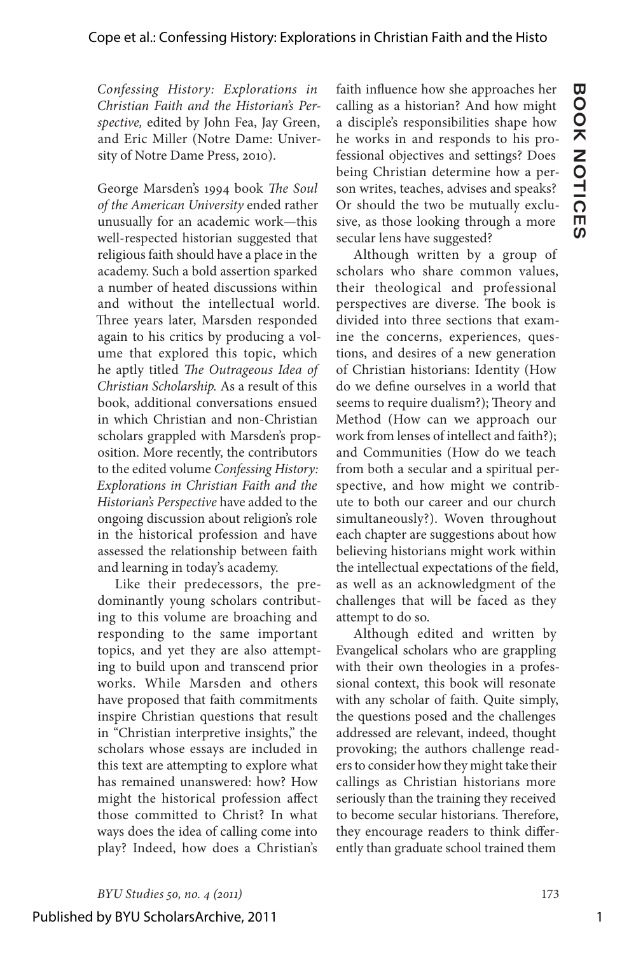Published by BYU ScholarsArchive, 2011

*Confessing History: Explorations in Christian Faith and the Historian's Perspective,* edited by John Fea, Jay Green, and Eric Miller (Notre Dame: University of Notre Dame Press, 2010).

George Marsden's 1994 book *The Soul of the American University* ended rather unusually for an academic work—this well-respected historian suggested that religious faith should have a place in the academy. Such a bold assertion sparked a number of heated discussions within and without the intellectual world. Three years later, Marsden responded again to his critics by producing a volume that explored this topic, which he aptly titled *The Outrageous Idea of Christian Scholarship.* As a result of this book, additional conversations ensued in which Christian and non-Christian scholars grappled with Marsden's proposition. More recently, the contributors to the edited volume *Confessing History: Explorations in Christian Faith and the Historian's Perspective* have added to the ongoing discussion about religion's role in the historical profession and have assessed the relationship between faith and learning in today's academy.

Like their predecessors, the predominantly young scholars contributing to this volume are broaching and responding to the same important topics, and yet they are also attempting to build upon and transcend prior works. While Marsden and others have proposed that faith commitments inspire Christian questions that result in "Christian interpretive insights," the scholars whose essays are included in this text are attempting to explore what has remained unanswered: how? How might the historical profession affect those committed to Christ? In what ways does the idea of calling come into play? Indeed, how does a Christian's

faith influence how she approaches her calling as a historian? And how might a disciple's responsibilities shape how he works in and responds to his professional objectives and settings? Does being Christian determine how a person writes, teaches, advises and speaks? Or should the two be mutually exclusive, as those looking through a more secular lens have suggested?

**BOOK NOTICES**

**BOOK NOTICES** 

Although written by a group of scholars who share common values, their theological and professional perspectives are diverse. The book is divided into three sections that examine the concerns, experiences, questions, and desires of a new generation of Christian historians: Identity (How do we define ourselves in a world that seems to require dualism?); Theory and Method (How can we approach our work from lenses of intellect and faith?); and Communities (How do we teach from both a secular and a spiritual perspective, and how might we contribute to both our career and our church simultaneously?). Woven throughout each chapter are suggestions about how believing historians might work within the intellectual expectations of the field, as well as an acknowledgment of the challenges that will be faced as they attempt to do so.

Although edited and written by Evangelical scholars who are grappling with their own theologies in a professional context, this book will resonate with any scholar of faith. Quite simply, the questions posed and the challenges addressed are relevant, indeed, thought provoking; the authors challenge readers to consider how they might take their callings as Christian historians more seriously than the training they received to become secular historians. Therefore, they encourage readers to think differently than graduate school trained them

1